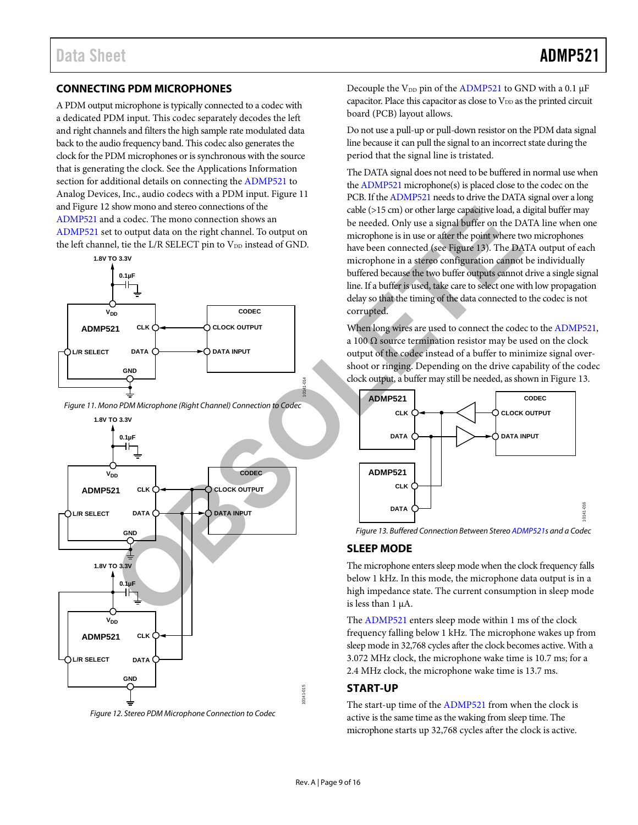#### **CONNECTING PDM MICROPHONES**

A PDM output microphone is typically connected to a codec with a dedicated PDM input. This codec separately decodes the left and right channels and filters the high sample rate modulated data back to the audio frequency band. This codec also generates the clock for the PDM microphones or is synchronous with the source that is generating the clock. See the [Applications Information](#page-10-0) section for additional details on connecting th[e ADMP521](http://www.analog.com/ADMP521) to Analog Devices, Inc., audio codecs with a PDM input. [Figure 11](#page-9-0) an[d Figure 12](#page-9-1) show mono and stereo connections of the [ADMP521](http://www.analog.com/ADMP521) and a codec. The mono connection shows an [ADMP521](http://www.analog.com/ADMP521) set to output data on the right channel. To output on the left channel, tie the L/R SELECT pin to V<sub>DD</sub> instead of GND.



<span id="page-9-0"></span>*Figure 11. Mono PDM Microphone (Right Channel) Connection to Codec*



<span id="page-9-1"></span>*Figure 12. Stereo PDM Microphone Connection to Codec*

Decouple the  $V_{DD}$  pin of the [ADMP521](http://www.analog.com/ADMP521) to GND with a 0.1  $\mu$ F capacitor. Place this capacitor as close to  $V_{DD}$  as the printed circuit board (PCB) layout allows.

Do not use a pull-up or pull-down resistor on the PDM data signal line because it can pull the signal to an incorrect state during the period that the signal line is tristated.

The DATA signal does not need to be buffered in normal use when th[e ADMP521](http://www.analog.com/ADMP521) microphone(s) is placed close to the codec on the PCB. If th[e ADMP521](http://www.analog.com/ADMP521) needs to drive the DATA signal over a long cable (>15 cm) or other large capacitive load, a digital buffer may be needed. Only use a signal buffer on the DATA line when one microphone is in use or after the point where two microphones have been connected (see Figure 13). The DATA output of each microphone in a stereo configuration cannot be individually buffered because the two buffer outputs cannot drive a single signal line. If a buffer is used, take care to select one with low propagation delay so that the timing of the data connected to the codec is not corrupted.

When long wires are used to connect the codec to th[e ADMP521,](http://www.analog.com/ADMP521)  a 100  $\Omega$  source termination resistor may be used on the clock output of the codec instead of a buffer to minimize signal overshoot or ringing. Depending on the drive capability of the codec clock output, a buffer may still be needed, as shown i[n Figure 13.](#page-9-2) 



<span id="page-9-2"></span>*Figure 13. Buffered Connection Between Stere[o ADMP521s](http://www.analog.com/ADMP521) and a Codec*

#### **SLEEP MODE**

The microphone enters sleep mode when the clock frequency falls below 1 kHz. In this mode, the microphone data output is in a high impedance state. The current consumption in sleep mode is less than  $1 \mu A$ .

The [ADMP521](http://www.analog.com/ADMP521) enters sleep mode within 1 ms of the clock frequency falling below 1 kHz. The microphone wakes up from sleep mode in 32,768 cycles after the clock becomes active. With a 3.072 MHz clock, the microphone wake time is 10.7 ms; for a 2.4 MHz clock, the microphone wake time is 13.7 ms.

#### **START-UP**

The start-up time of the [ADMP521](http://www.analog.com/ADMP521) from when the clock is active is the same time as the waking from sleep time. The microphone starts up 32,768 cycles after the clock is active.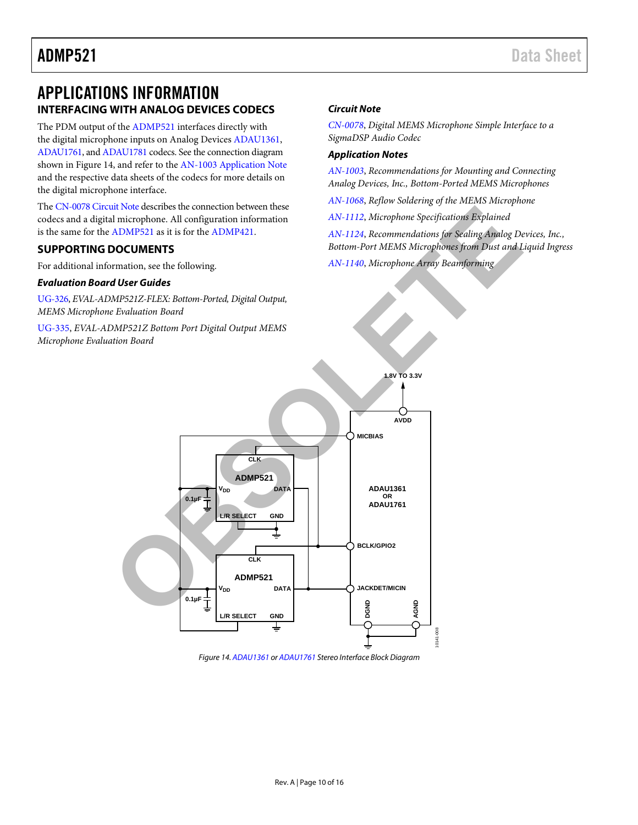## <span id="page-10-0"></span>APPLICATIONS INFORMATION **INTERFACING WITH ANALOG DEVICES CODECS**

The PDM output of the [ADMP521](http://www.analog.com/ADMP521) interfaces directly with the digital microphone inputs on Analog Device[s ADAU1361,](http://www.analog.com/adau1361)  [ADAU1761,](http://www.analog.com/adau1761) an[d ADAU1781](http://www.analog.com/ADAU1781) codecs. See the connection diagram shown in [Figure 14,](#page-10-1) and refer to the [AN-1003 Application Note](http://www.analog.com/AN-1003) and the respective data sheets of the codecs for more details on the digital microphone interface.

The [CN-0078 Circuit Note](http://www.analog.com/CN-0078) describes the connection between these codecs and a digital microphone. All configuration information is the same for the ADMP521 as it is for the ADMP421.

#### **SUPPORTING DOCUMENTS**

For additional information, see the following.

#### *Evaluation Board User Guides*

[UG-326,](http://www.analog.com/UG-326) *EVAL-ADMP521Z-FLEX: Bottom-Ported, Digital Output, MEMS Microphone Evaluation Board*

[UG-335,](http://www.analog.com/ug-335) *EVAL-ADMP521Z Bottom Port Digital Output MEMS Microphone Evaluation Board*

#### *Circuit Note*

*[CN-0078](http://www.analog.com/CN0078)*, *Digital MEMS Microphone Simple Interface to a SigmaDSP Audio Codec*

#### *Application Notes*

*[AN-1003](http://www.analog.com/AN-1003)*, *Recommendations for Mounting and Connecting Analog Devices, Inc., Bottom-Ported MEMS Microphones*

*[AN-1068](http://www.analog.com/AN-1068)*, *Reflow Soldering of the MEMS Microphone*

*AN-1112*, *Microphone Specifications Explained*

*AN-1124*, *Recommendations for Sealing Analog Devices, Inc., Bottom-Port MEMS Microphones from Dust and Liquid Ingress*

*AN-1140*, *Microphone Array Beamforming* 



<span id="page-10-1"></span>*Figure 14[. ADAU1361 o](http://www.analog.com/ADAU1361)[r ADAU1761](http://www.analog.com/ADAU1761) Stereo Interface Block Diagram*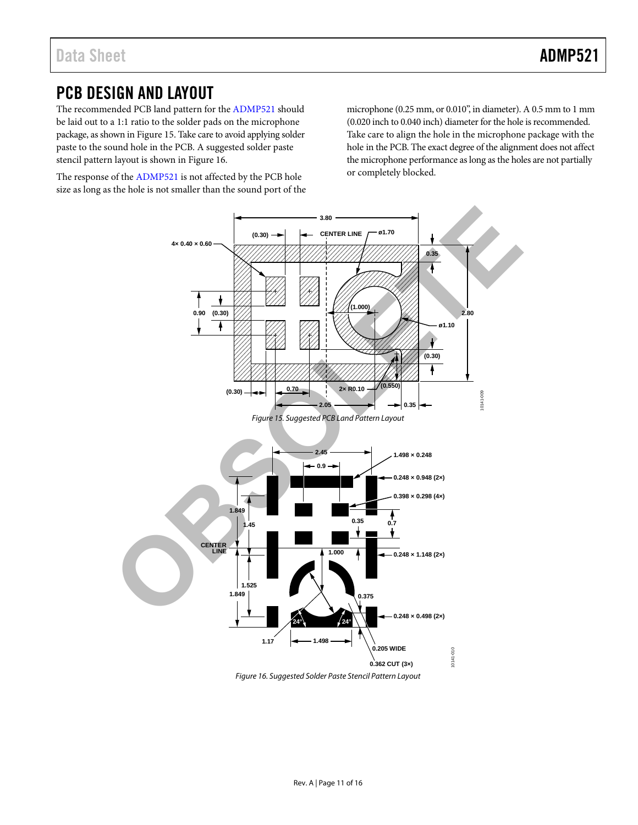## PCB DESIGN AND LAYOUT

The recommended PCB land pattern for th[e ADMP521 s](http://www.analog.com/ADMP521)hould be laid out to a 1:1 ratio to the solder pads on the microphone package, as shown i[n Figure 15.](#page-11-0) Take care to avoid applying solder paste to the sound hole in the PCB. A suggested solder paste stencil pattern layout is shown in [Figure 16.](#page-11-1) 

The response of th[e ADMP521 i](http://www.analog.com/ADMP521)s not affected by the PCB hole size as long as the hole is not smaller than the sound port of the microphone (0.25 mm, or 0.010", in diameter). A 0.5 mm to 1 mm (0.020 inch to 0.040 inch) diameter for the hole is recommended. Take care to align the hole in the microphone package with the hole in the PCB. The exact degree of the alignment does not affect the microphone performance as long as the holes are not partially or completely blocked.

<span id="page-11-0"></span>

<span id="page-11-1"></span>Figure 16. Suggested Solder Paste Stencil Pattern Layout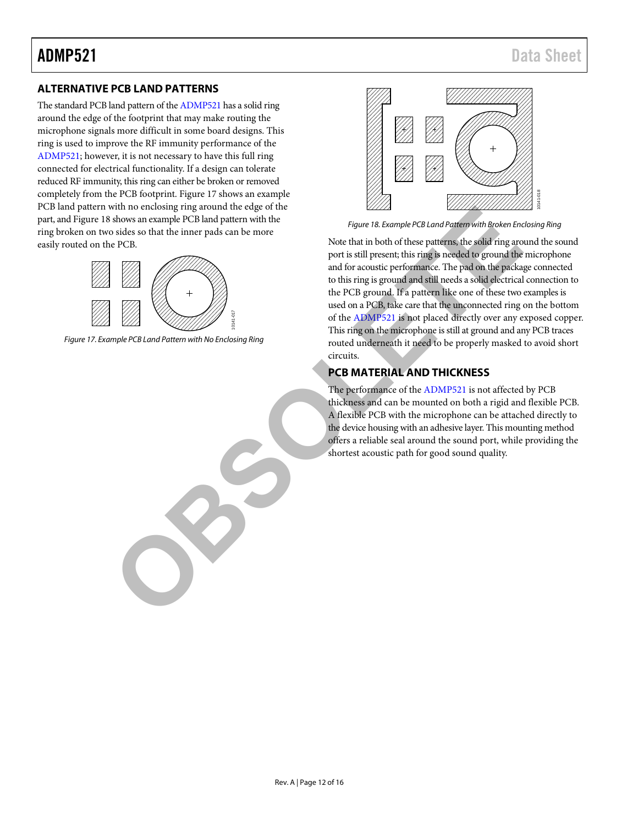#### **ALTERNATIVE PCB LAND PATTERNS**

The standard PCB land pattern of the [ADMP521](http://www.analog.com/ADMP521) has a solid ring around the edge of the footprint that may make routing the microphone signals more difficult in some board designs. This ring is used to improve the RF immunity performance of the [ADMP521;](http://www.analog.com/ADMP521) however, it is not necessary to have this full ring connected for electrical functionality. If a design can tolerate reduced RF immunity, this ring can either be broken or removed completely from the PCB footprint[. Figure 17](#page-12-0) shows an example PCB land pattern with no enclosing ring around the edge of the part, an[d Figure 18](#page-12-1) shows an example PCB land pattern with the ring broken on two sides so that the inner pads can be more easily routed on the PCB.



<span id="page-12-0"></span>*Figure 17. Example PCB Land Pattern with No Enclosing Ring*



<span id="page-12-1"></span>*Figure 18. Example PCB Land Pattern with Broken Enclosing Ring*

Note that in both of these patterns, the solid ring around the sound port is still present; this ring is needed to ground the microphone and for acoustic performance. The pad on the package connected to this ring is ground and still needs a solid electrical connection to the PCB ground. If a pattern like one of these two examples is used on a PCB, take care that the unconnected ring on the bottom of the ADMP521 is not placed directly over any exposed copper. This ring on the microphone is still at ground and any PCB traces routed underneath it need to be properly masked to avoid short circuits. With the calosis part and part and part and part and part and part and part and part and part and part and part and part and part and part and part and part and part and part and part and part and part and part and part an

### **PCB MATERIAL AND THICKNESS**

The performance of the ADMP521 is not affected by PCB thickness and can be mounted on both a rigid and flexible PCB. A flexible PCB with the microphone can be attached directly to the device housing with an adhesive layer. This mounting method offers a reliable seal around the sound port, while providing the shortest acoustic path for good sound quality.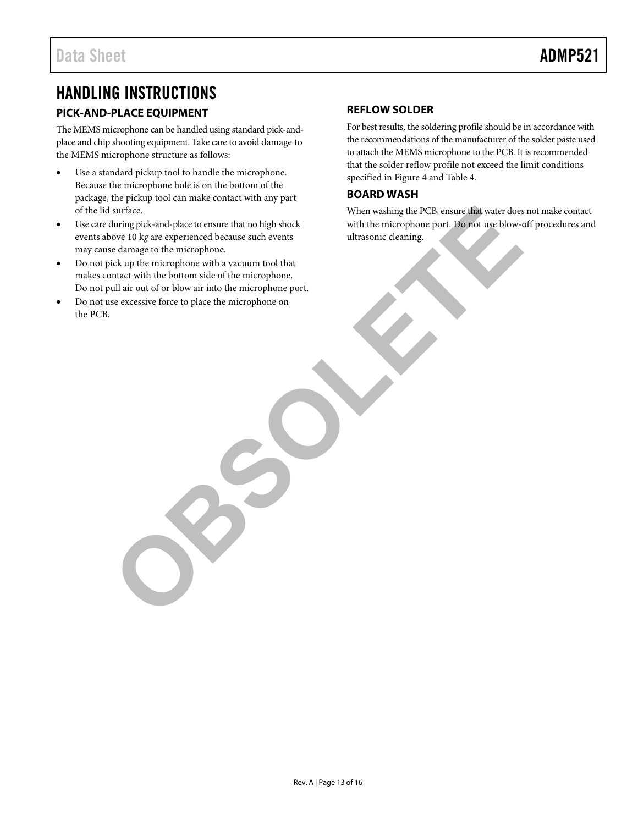## HANDLING INSTRUCTIONS

### **PICK-AND-PLACE EQUIPMENT**

The MEMS microphone can be handled using standard pick-andplace and chip shooting equipment. Take care to avoid damage to the MEMS microphone structure as follows:

- Use a standard pickup tool to handle the microphone. Because the microphone hole is on the bottom of the package, the pickup tool can make contact with any part of the lid surface.
- Use care during pick-and-place to ensure that no high shock events above 10 k*g* are experienced because such events may cause damage to the microphone. surface.<br>
Submit prices and place to ensure that no high shock<br>
with the microphone.<br>
When washing the PCR, ensure that water does<br>
order to high control the control of the microphone with a vacuum tool that<br>
with the beha
- Do not pick up the microphone with a vacuum tool that makes contact with the bottom side of the microphone. Do not pull air out of or blow air into the microphone port.
- Do not use excessive force to place the microphone on the PCB.

#### **REFLOW SOLDER**

For best results, the soldering profile should be in accordance with the recommendations of the manufacturer of the solder paste used to attach the MEMS microphone to the PCB. It is recommended that the solder reflow profile not exceed the limit conditions specified i[n Figure 4](#page-5-0) an[d Table 4.](#page-5-1) 

#### **BOARD WASH**

When washing the PCB, ensure that water does not make contact with the microphone port. Do not use blow-off procedures and ultrasonic cleaning.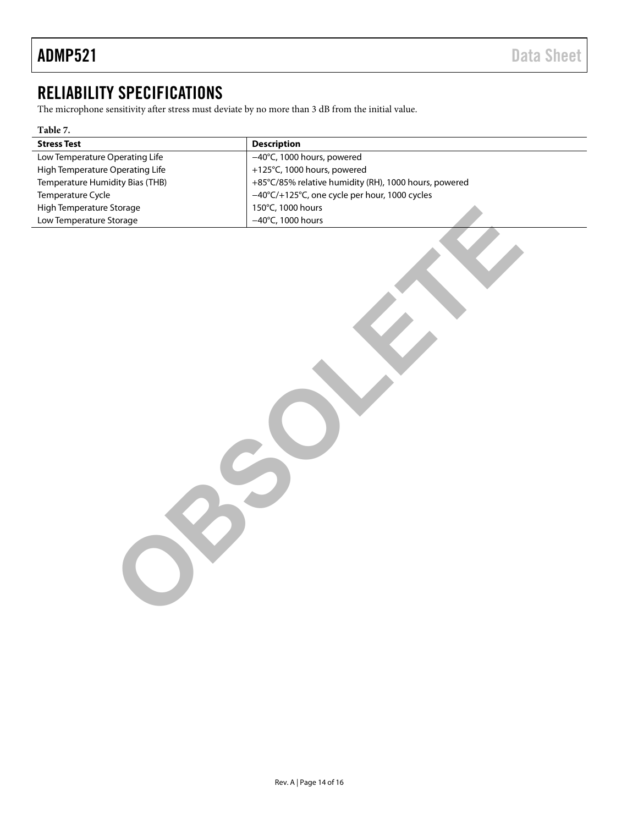## RELIABILITY SPECIFICATIONS

The microphone sensitivity after stress must deviate by no more than 3 dB from the initial value.

| ***** <i>*</i> *                |                                                       |  |  |
|---------------------------------|-------------------------------------------------------|--|--|
| <b>Stress Test</b>              | <b>Description</b>                                    |  |  |
| Low Temperature Operating Life  | -40°C, 1000 hours, powered                            |  |  |
| High Temperature Operating Life | +125°C, 1000 hours, powered                           |  |  |
| Temperature Humidity Bias (THB) | +85°C/85% relative humidity (RH), 1000 hours, powered |  |  |
| Temperature Cycle               | -40°C/+125°C, one cycle per hour, 1000 cycles         |  |  |
| High Temperature Storage        | 150°C, 1000 hours                                     |  |  |
| Low Temperature Storage         | $-40^{\circ}$ C, 1000 hours                           |  |  |
|                                 |                                                       |  |  |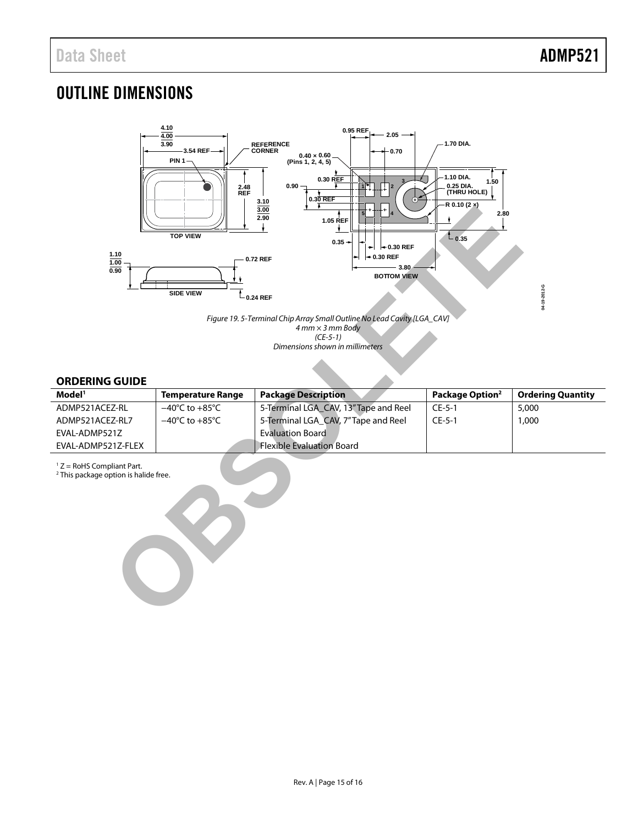**04-19-2012-G**

04-19-2012-G

# OUTLINE DIMENSIONS



*Figure 19. 5-Terminal Chip Array Small Outline No Lead Cavity [LGA\_CAV] 4 mm × 3 mm Body (CE-5-1) Dimensions shown in millimeters*

#### **ORDERING GUIDE**

| Model <sup>1</sup> | <b>Temperature Range</b>           | <b>Package Description</b>            | Package Option <sup>2</sup> | <b>Ordering Quantity</b> |
|--------------------|------------------------------------|---------------------------------------|-----------------------------|--------------------------|
| ADMP521ACEZ-RL     | $-40^{\circ}$ C to $+85^{\circ}$ C | 5-Terminal LGA CAV, 13" Tape and Reel | $CE-5-1$                    | 5,000                    |
| ADMP521ACEZ-RL7    | $-40^{\circ}$ C to $+85^{\circ}$ C | 5-Terminal LGA CAV, 7"Tape and Reel   | $CE-5-1$                    | 1,000                    |
| EVAL-ADMP521Z      |                                    | <b>Evaluation Board</b>               |                             |                          |
| EVAL-ADMP521Z-FLEX |                                    | <b>Flexible Evaluation Board</b>      |                             |                          |

 $1 Z =$  RoHS Compliant Part.

<sup>2</sup> This package option is halide free.